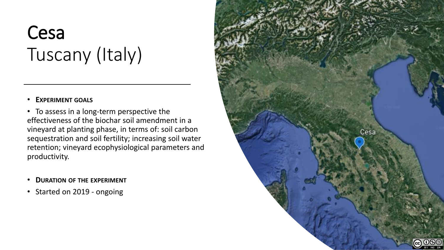# Cesa Tuscany (Italy)

## • **EXPERIMENT GOALS**

• To assess in a long-term perspective the effectiveness of the biochar soil amendment in a vineyard at planting phase, in terms of: soil carbon sequestration and soil fertility; increasing soil water retention; vineyard ecophysiological parameters and productivity.

- **DURATION OF THE EXPERIMENT**
- Started on 2019 ongoing

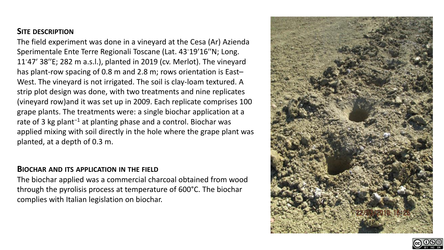# **SITE DESCRIPTION**

The field experiment was done in a vineyard at the Cesa (Ar) Azienda Sperimentale Ente Terre Regionali Toscane (Lat. 43◦19′16′′N; Long. 11◦47′ 38′′E; 282 m a.s.l.), planted in 2019 (cv. Merlot). The vineyard has plant-row spacing of 0.8 m and 2.8 m; rows orientation is East-West. The vineyard is not irrigated. The soil is clay-loam textured. A strip plot design was done, with two treatments and nine replicates (vineyard row)and it was set up in 2009. Each replicate comprises 100 grape plants. The treatments were: a single biochar application at a rate of 3 kg plant−1 at planting phase and a control. Biochar was applied mixing with soil directly in the hole where the grape plant was planted, at a depth of 0.3 m.

#### **BIOCHAR AND ITS APPLICATION IN THE FIELD**

The biochar applied was a commercial charcoal obtained from wood through the pyrolisis process at temperature of 600°C. The biochar complies with Italian legislation on biochar.



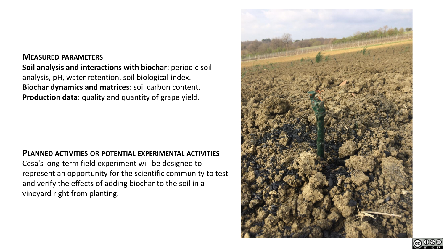### **MEASURED PARAMETERS**

**Soil analysis and interactions with biochar**: periodic soil analysis, pH, water retention, soil biological index. **Biochar dynamics and matrices**: soil carbon content. **Production data**: quality and quantity of grape yield.

#### **PLANNED ACTIVITIES OR POTENTIAL EXPERIMENTAL ACTIVITIES**

Cesa's long-term field experiment will be designed to represent an opportunity for the scientific community to test and verify the effects of adding biochar to the soil in a vineyard right from planting.